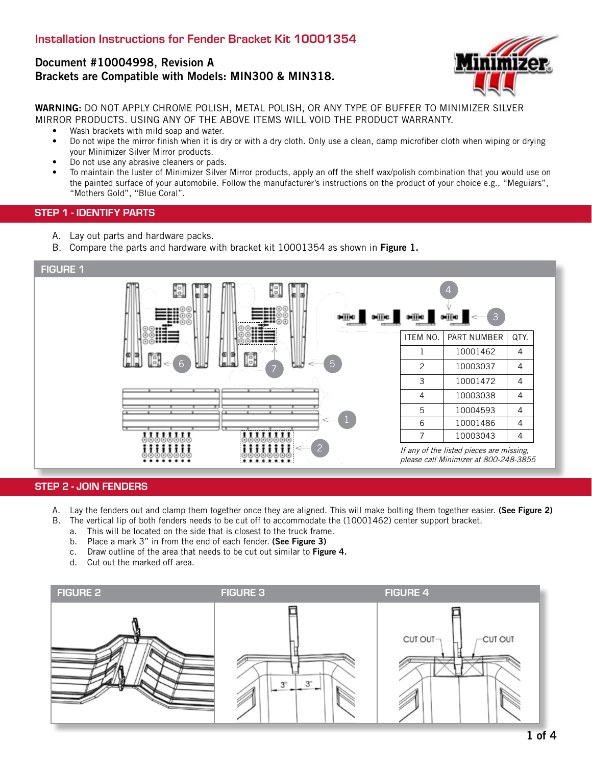# Installation Instructions for Fender Bracket Kit 10001354

# Document #10004998, Revision A Brackets are Compatible with Models: MIN300 & MIN318.



WARNING: DO NOT APPLY CHROME POLISH, METAL POLISH, OR ANY TYPE OF BUFFER TO MINIMIZER SILVER MIRROR PRODUCTS. USING ANY OF THE ABOVE ITEMS WILL VOID THE PRODUCT WARRANTY.

- Wash brackets with mild soap and water.
- Do not wipe the mirror finish when it is dry or with a dry cloth. Only use a clean, damp microfiber cloth when wiping or drying your Minimizer Silver Mirror products.
- Do not use any abrasive cleaners or pads.
- To maintain the luster of Minimizer Silver Mirror products, apply an off the shelf wax/polish combination that you would use on the painted surface of your automobile. Follow the manufacturer's instructions on the product of your choice e.g., "Meguiars", "Mothers Gold", "Blue Coral".

### STEP 1 - IDENTIFY PARTS

- A. Lay out parts and hardware packs.
- B. Compare the parts and hardware with bracket kit 10001354 as shown in Figure 1.



### STEP 2 - JOIN FENDERS

- A. Lay the fenders out and clamp them together once they are aligned. This will make bolting them together easier. (See Figure 2)
- B. The vertical lip of both fenders needs to be cut off to accommodate the (10001462) center support bracket.
	- a. This will be located on the side that is closest to the truck frame.
	- b. Place a mark 3" in from the end of each fender. (See Figure 3)
	- c. Draw outline of the area that needs to be cut out similar to Figure 4.
	- d. Cut out the marked off area.

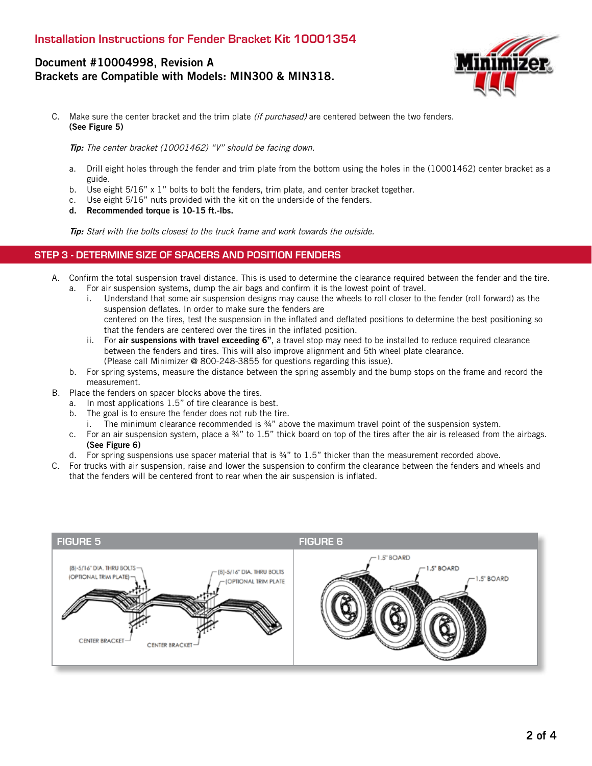# Document #10004998, Revision A Brackets are Compatible with Models: MIN300 & MIN318.



C. Make sure the center bracket and the trim plate (if purchased) are centered between the two fenders. (See Figure 5)

Tip: The center bracket (10001462) "V" should be facing down.

- a. Drill eight holes through the fender and trim plate from the bottom using the holes in the (10001462) center bracket as a guide.
- b. Use eight 5/16" x 1" bolts to bolt the fenders, trim plate, and center bracket together.
- c. Use eight 5/16" nuts provided with the kit on the underside of the fenders.
- d. Recommended torque is 10-15 ft.-lbs.

Tip: Start with the bolts closest to the truck frame and work towards the outside.

### STEP 3 - DETERMINE SIZE OF SPACERS AND POSITION FENDERS

- A. Confirm the total suspension travel distance. This is used to determine the clearance required between the fender and the tire. a. For air suspension systems, dump the air bags and confirm it is the lowest point of travel.
	- i. Understand that some air suspension designs may cause the wheels to roll closer to the fender (roll forward) as the suspension deflates. In order to make sure the fenders are centered on the tires, test the suspension in the inflated and deflated positions to determine the best positioning so that the fenders are centered over the tires in the inflated position.
	- ii. For air suspensions with travel exceeding 6", a travel stop may need to be installed to reduce required clearance between the fenders and tires. This will also improve alignment and 5th wheel plate clearance. (Please call Minimizer @ 800-248-3855 for questions regarding this issue).
	- b. For spring systems, measure the distance between the spring assembly and the bump stops on the frame and record the measurement.
- B. Place the fenders on spacer blocks above the tires.
	- a. In most applications 1.5" of tire clearance is best.
	- b. The goal is to ensure the fender does not rub the tire.
		- i. The minimum clearance recommended is ¾" above the maximum travel point of the suspension system.
	- c. For an air suspension system, place a  $\frac{3}{4}$ " to  $1.5$ " thick board on top of the tires after the air is released from the airbags. (See Figure 6)
	- d. For spring suspensions use spacer material that is ¾" to 1.5" thicker than the measurement recorded above.
- C. For trucks with air suspension, raise and lower the suspension to confirm the clearance between the fenders and wheels and that the fenders will be centered front to rear when the air suspension is inflated.

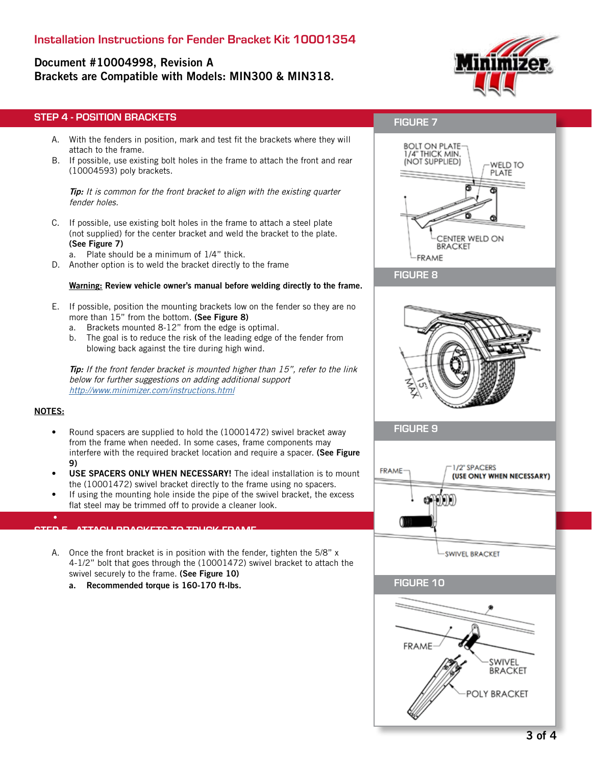# Installation Instructions for Fender Bracket Kit 10001354

# Document #10004998, Revision A

Brackets are Compatible with Models: MIN300 & MIN318.



### STEP 4 - POSITION BRACKETS

- A. With the fenders in position, mark and test fit the brackets where they will attach to the frame.
- B. If possible, use existing bolt holes in the frame to attach the front and rear (10004593) poly brackets.

Tip: It is common for the front bracket to align with the existing quarter fender holes.

C. If possible, use existing bolt holes in the frame to attach a steel plate (not supplied) for the center bracket and weld the bracket to the plate. (See Figure 7)

a. Plate should be a minimum of 1/4" thick.

D. Another option is to weld the bracket directly to the frame

#### Warning: Review vehicle owner's manual before welding directly to the frame.

- E. If possible, position the mounting brackets low on the fender so they are no more than 15" from the bottom. (See Figure 8)
	- a. Brackets mounted 8-12" from the edge is optimal.
	- b. The goal is to reduce the risk of the leading edge of the fender from blowing back against the tire during high wind.

**Tip:** If the front fender bracket is mounted higher than 15", refer to the link below for further suggestions on adding additional support http://www.minimizer.com/instructions.html

#### NOTES:

- Round spacers are supplied to hold the (10001472) swivel bracket away from the frame when needed. In some cases, frame components may interfere with the required bracket location and require a spacer. (See Figure 9)
- USE SPACERS ONLY WHEN NECESSARY! The ideal installation is to mount the (10001472) swivel bracket directly to the frame using no spacers.
- If using the mounting hole inside the pipe of the swivel bracket, the excess flat steel may be trimmed off to provide a cleaner look.

STED 5 - ATTACH BRACKETS TO TRUCK FRAME<br>.

- A. Once the front bracket is in position with the fender, tighten the 5/8" x 4-1/2" bolt that goes through the (10001472) swivel bracket to attach the swivel securely to the frame. (See Figure 10)
	- a. Recommended torque is 160-170 ft-lbs.

## FIGURE 7









SWIVEL BRACKET

#### FIGURE 10